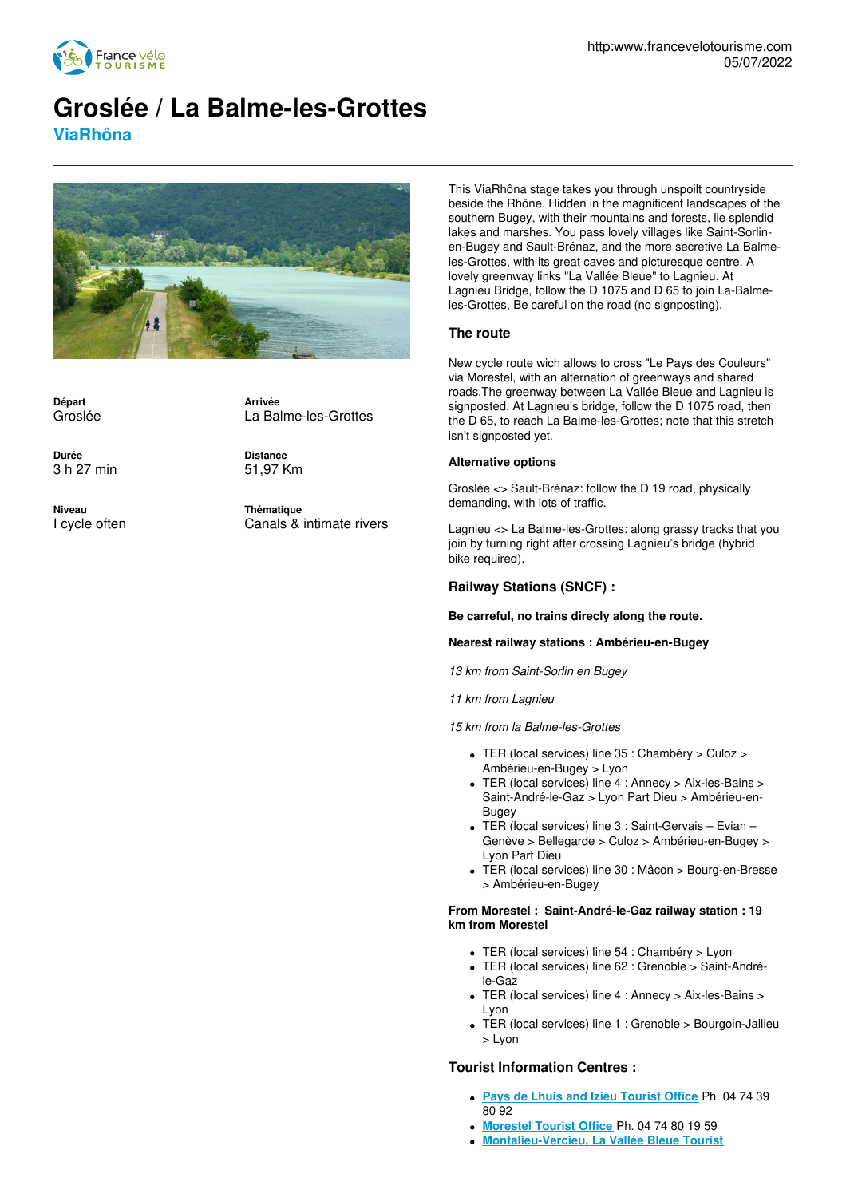

# **Groslée / La Balme-les-Grottes ViaRhôna**



**Départ** Groslée

**Durée** 3 h 27 min **Distance**

La Balme-les-Grottes

**Arrivée**

51,97 Km

**Niveau** I cycle often **Thématique** Canals & intimate rivers

This ViaRhôna stage takes you through unspoilt countryside beside the Rhône. Hidden in the magnificent landscapes of the southern Bugey, with their mountains and forests, lie splendid lakes and marshes. You pass lovely villages like Saint-Sorlinen-Bugey and Sault-Brénaz, and the more secretive La Balmeles-Grottes, with its great caves and picturesque centre. A lovely greenway links "La Vallée Bleue" to Lagnieu. At Lagnieu Bridge, follow the D 1075 and D 65 to join La-Balmeles-Grottes, Be careful on the road (no signposting).

## **The route**

New cycle route wich allows to cross "Le Pays des Couleurs" via Morestel, with an alternation of greenways and shared roads.The greenway between La Vallée Bleue and Lagnieu is signposted. At Lagnieu's bridge, follow the D 1075 road, then the D 65, to reach La Balme-les-Grottes; note that this stretch isn't signposted yet.

#### **Alternative options**

Groslée <> Sault-Brénaz: follow the D 19 road, physically demanding, with lots of traffic.

Lagnieu <> La Balme-les-Grottes: along grassy tracks that you join by turning right after crossing Lagnieu's bridge (hybrid bike required).

## **Railway Stations (SNCF) :**

**Be carreful, no trains direcly along the route.**

#### **Nearest railway stations : Ambérieu-en-Bugey**

*13 km from Saint-Sorlin en Bugey*

*11 km from Lagnieu*

*15 km from la Balme-les-Grottes*

- TER (local services) line 35 : Chambéry > Culoz > Ambérieu-en-Bugey > Lyon
- TER (local services) line 4 : Annecy > Aix-les-Bains > Saint-André-le-Gaz > Lyon Part Dieu > Ambérieu-en-Bugey
- TER (local services) line 3 : Saint-Gervais Evian Genève > Bellegarde > Culoz > Ambérieu-en-Bugey > Lyon Part Dieu
- TER (local services) line 30 : Mâcon > Bourg-en-Bresse > Ambérieu-en-Bugey

#### **From Morestel : Saint-André-le-Gaz railway station : 19 km from Morestel**

- TER (local services) line 54 : Chambéry > Lyon
- TER (local services) line 62 : Grenoble > Saint-Andréle-Gaz
- TER (local services) line 4 : Annecy > Aix-les-Bains > Lyon
- TER (local services) line 1 : Grenoble > Bourgoin-Jallieu > Lyon

### **Tourist Information Centres :**

- **Pays de Lhuis and Izieu [Tourist](http://www.tourismelhuis.fr/) Office** Ph. 04 74 39 80 92
- **[Morestel](http://www.morestel.com/) Tourist Office** Ph. 04 74 80 19 59
- **[Montalieu-Vercieu,](http://www.valleebleue.org/) La Vallée Bleue Tourist**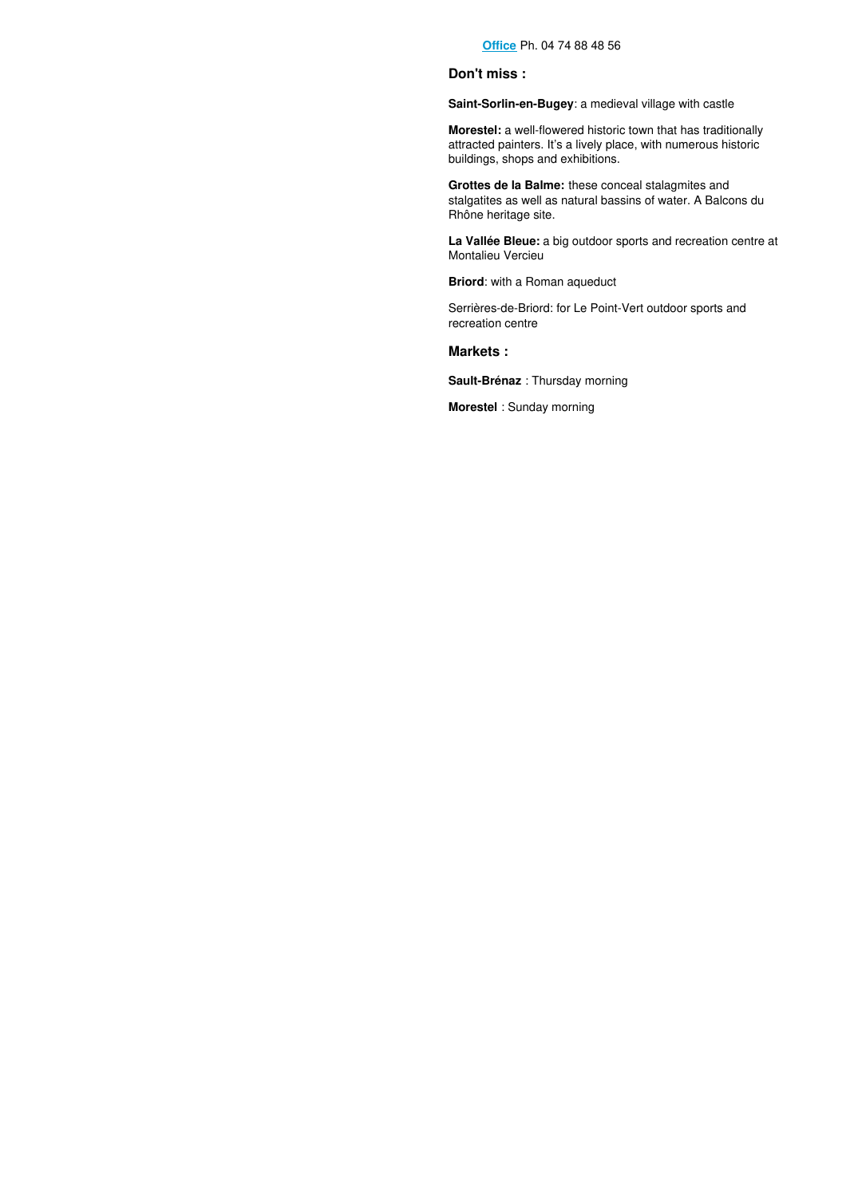## **Don't miss :**

**Saint-Sorlin-en-Bugey**: a medieval village with castle

**Morestel:** a well-flowered historic town that has traditionally attracted painters. It's a lively place, with numerous historic buildings, shops and exhibitions.

**Grottes de la Balme:** these conceal stalagmites and stalgatites as well as natural bassins of water. A Balcons du Rhône heritage site.

**La Vallée Bleue:** a big outdoor sports and recreation centre at Montalieu Vercieu

**Briord**: with a Roman aqueduct

Serrières-de-Briord: for Le Point-Vert outdoor sports and recreation centre

**Markets :**

**Sault-Brénaz** : Thursday morning

**Morestel** : Sunday morning